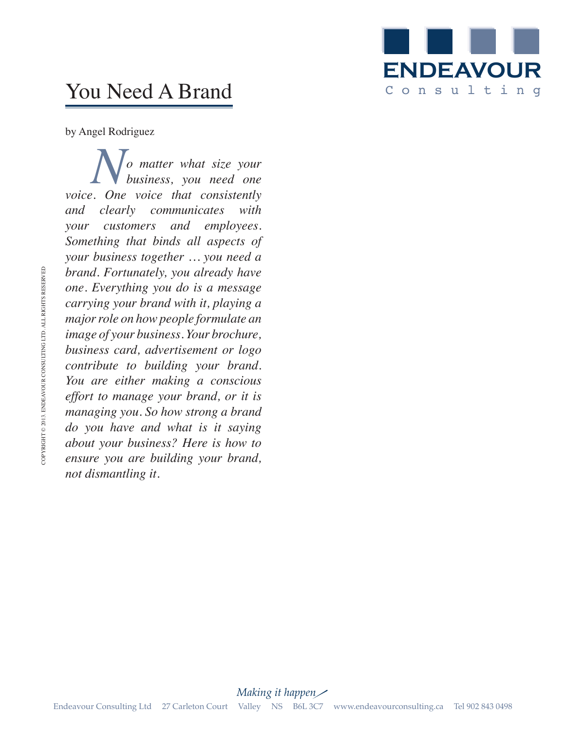

## You Need A Brand

by Angel Rodriguez

*No matter what size your*<br>*business, you need one*<br>*Cone voice that consistently business, you need one voice. One voice that consistently and clearly communicates with your customers and employees. Something that binds all aspects of your business together … you need a brand. Fortunately, you already have one. Everything you do is a message carrying your brand with it, playing a major role on how people formulate an image of your business. Your brochure, business card, advertisement or logo contribute to building your brand. You are either making a conscious effort to manage your brand, or it is managing you. So how strong a brand do you have and what is it saying about your business? Here is how to ensure you are building your brand, not dismantling it.*

*Making it happen* Endeavour Consulting Ltd 27 Carleton Court Valley NS B6L 3C7 www.endeavourconsulting.ca Tel 902 843 0498